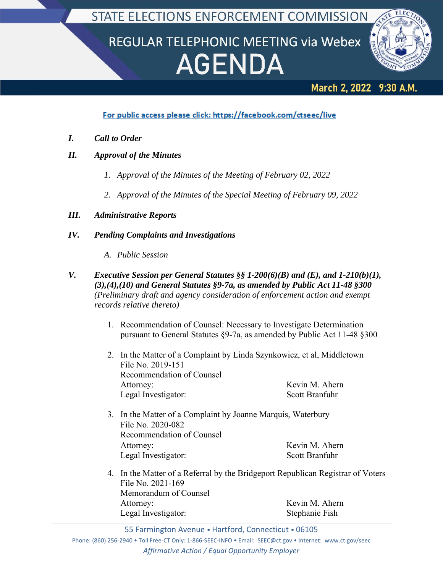STATE ELECTIONS ENFORCEMENT COMMISSION

# REGULAR TELEPHONIC MEETING via Webex **AGENDA**



#### **March 2, 2022** 9:30 A.M.

For public access please click: https://facebook.com/ctseec/live

- *I. Call to Order*
- *II. Approval of the Minutes*
	- *1. Approval of the Minutes of the Meeting of February 02, 2022*
	- *2. Approval of the Minutes of the Special Meeting of February 09, 2022*

# *III. Administrative Reports*

# *IV. Pending Complaints and Investigations*

- *A. Public Session*
- *V. Executive Session per General Statutes §§ 1-200(6)(B) and (E), and 1-210(b)(1), (3),(4),(10) and General Statutes §9-7a, as amended by Public Act 11-48 §300 (Preliminary draft and agency consideration of enforcement action and exempt records relative thereto)*
	- 1. Recommendation of Counsel: Necessary to Investigate Determination pursuant to General Statutes §9-7a, as amended by Public Act 11-48 §300
	- 2. In the Matter of a Complaint by Linda Szynkowicz, et al, Middletown File No. 2019-151 Recommendation of Counsel Attorney: Kevin M. Ahern Legal Investigator: Scott Branfuhr
	- 3. In the Matter of a Complaint by Joanne Marquis, Waterbury File No. 2020-082 Recommendation of Counsel Attorney: Kevin M. Ahern Legal Investigator: Scott Branfuhr
	- 4. In the Matter of a Referral by the Bridgeport Republican Registrar of Voters File No. 2021-169 Memorandum of Counsel Attorney: Kevin M. Ahern Legal Investigator: Stephanie Fish

55 Farmington Avenue • Hartford, Connecticut • 06105

Phone: (860) 256‐2940 • Toll Free‐CT Only: 1‐866‐SEEC‐INFO • Email: SEEC@ct.gov • Internet: www.ct.gov/seec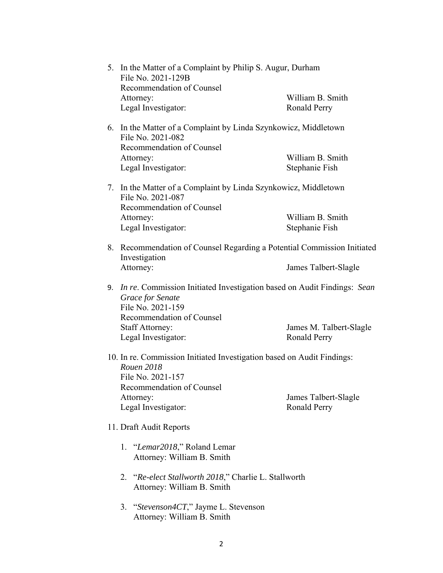|                                                                                                                  | 5. In the Matter of a Complaint by Philip S. Augur, Durham<br>File No. 2021-129B<br>Recommendation of Counsel                                 |                                                                      |  |
|------------------------------------------------------------------------------------------------------------------|-----------------------------------------------------------------------------------------------------------------------------------------------|----------------------------------------------------------------------|--|
|                                                                                                                  |                                                                                                                                               |                                                                      |  |
|                                                                                                                  | Attorney:                                                                                                                                     | William B. Smith                                                     |  |
|                                                                                                                  | Legal Investigator:                                                                                                                           | <b>Ronald Perry</b>                                                  |  |
|                                                                                                                  | File No. 2021-082                                                                                                                             | 6. In the Matter of a Complaint by Linda Szynkowicz, Middletown      |  |
|                                                                                                                  | Recommendation of Counsel                                                                                                                     |                                                                      |  |
|                                                                                                                  | Attorney:                                                                                                                                     | William B. Smith                                                     |  |
|                                                                                                                  | Legal Investigator:                                                                                                                           | Stephanie Fish                                                       |  |
| 7.                                                                                                               | In the Matter of a Complaint by Linda Szynkowicz, Middletown<br>File No. 2021-087                                                             |                                                                      |  |
|                                                                                                                  | Recommendation of Counsel                                                                                                                     |                                                                      |  |
|                                                                                                                  | Attorney:                                                                                                                                     | William B. Smith                                                     |  |
|                                                                                                                  | Legal Investigator:                                                                                                                           | Stephanie Fish                                                       |  |
| 8.                                                                                                               | Investigation                                                                                                                                 | Recommendation of Counsel Regarding a Potential Commission Initiated |  |
|                                                                                                                  | Attorney:                                                                                                                                     | James Talbert-Slagle                                                 |  |
| 9.                                                                                                               | In re. Commission Initiated Investigation based on Audit Findings: Sean<br>Grace for Senate<br>File No. 2021-159<br>Recommendation of Counsel |                                                                      |  |
|                                                                                                                  | <b>Staff Attorney:</b><br>Legal Investigator:                                                                                                 | James M. Talbert-Slagle<br>Ronald Perry                              |  |
| 10. In re. Commission Initiated Investigation based on Audit Findings:<br><b>Rouen 2018</b><br>File No. 2021-157 |                                                                                                                                               |                                                                      |  |
|                                                                                                                  | Recommendation of Counsel                                                                                                                     |                                                                      |  |
|                                                                                                                  | Attorney:                                                                                                                                     | James Talbert-Slagle                                                 |  |
|                                                                                                                  | Legal Investigator:                                                                                                                           | Ronald Perry                                                         |  |
| 11. Draft Audit Reports                                                                                          |                                                                                                                                               |                                                                      |  |
|                                                                                                                  | 1. "Lemar2018," Roland Lemar<br>Attorney: William B. Smith                                                                                    |                                                                      |  |
|                                                                                                                  | 2. "Re-elect Stallworth 2018," Charlie L. Stallworth<br>Attorney: William B. Smith                                                            |                                                                      |  |
|                                                                                                                  |                                                                                                                                               |                                                                      |  |

3. "*Stevenson4CT*," Jayme L. Stevenson Attorney: William B. Smith